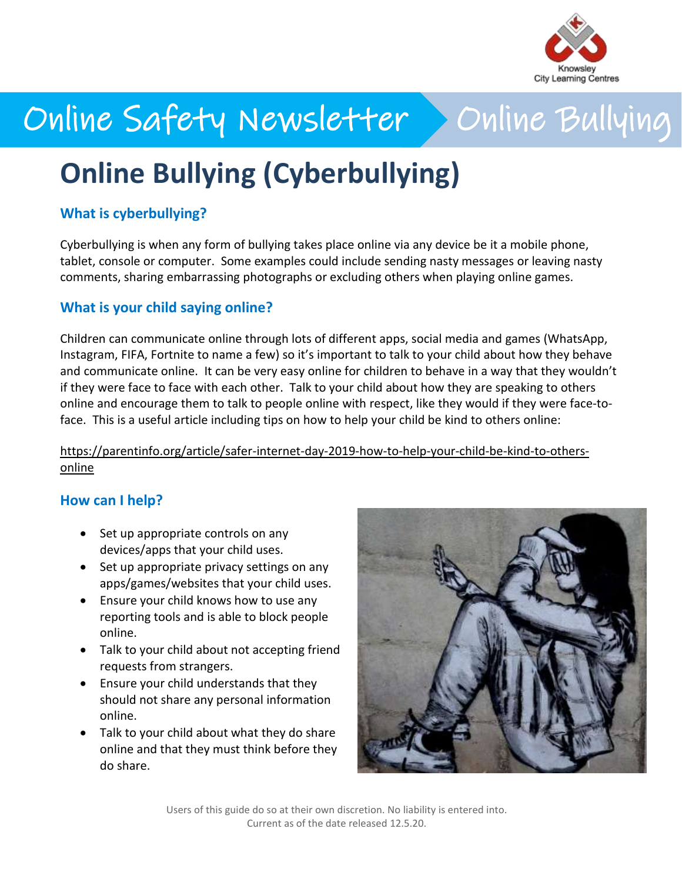

# Online Safety Newsletter > Online Bullying

## **Online Bullying (Cyberbullying)**

#### **What is cyberbullying?**

Cyberbullying is when any form of bullying takes place online via any device be it a mobile phone, tablet, console or computer. Some examples could include sending nasty messages or leaving nasty comments, sharing embarrassing photographs or excluding others when playing online games.

#### **What is your child saying online?**

Children can communicate online through lots of different apps, social media and games (WhatsApp, Instagram, FIFA, Fortnite to name a few) so it's important to talk to your child about how they behave and communicate online. It can be very easy online for children to behave in a way that they wouldn't if they were face to face with each other. Talk to your child about how they are speaking to others online and encourage them to talk to people online with respect, like they would if they were face-toface. This is a useful article including tips on how to help your child be kind to others online:

[https://parentinfo.org/article/safer-internet-day-2019-how-to-help-your-child-be-kind-to-others](https://parentinfo.org/article/safer-internet-day-2019-how-to-help-your-child-be-kind-to-others-online)[online](https://parentinfo.org/article/safer-internet-day-2019-how-to-help-your-child-be-kind-to-others-online)

#### **How can I help?**

- Set up appropriate controls on any devices/apps that your child uses.
- Set up appropriate privacy settings on any apps/games/websites that your child uses.
- Ensure your child knows how to use any reporting tools and is able to block people online.
- Talk to your child about not accepting friend requests from strangers.
- Ensure your child understands that they should not share any personal information online.
- Talk to your child about what they do share online and that they must think before they do share.